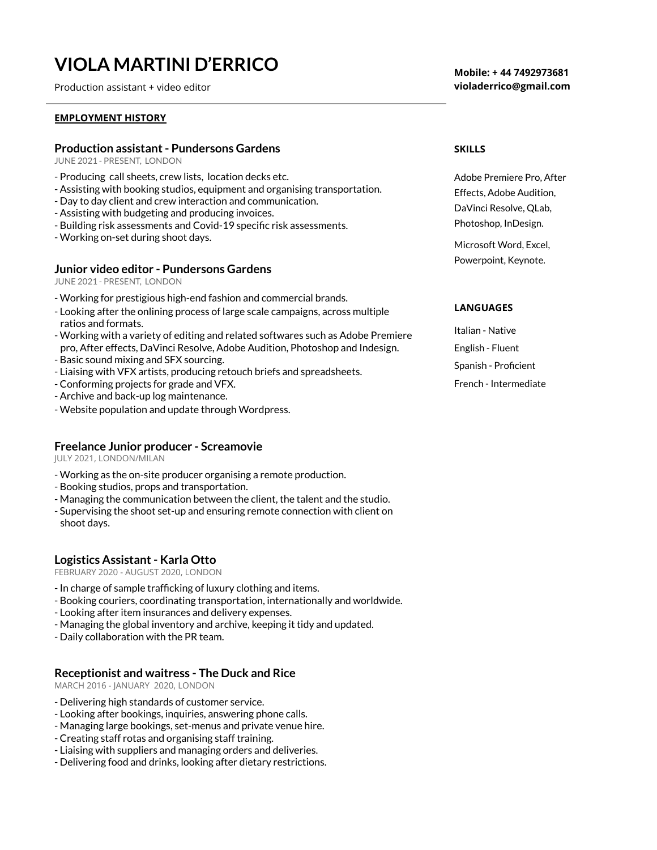# **VIOLA MARTINI D'ERRICO**

Production assistant + video editor

#### **EMPLOYMENT HISTORY**

### **Production assistant- Pundersons Gardens**

JUNE 2021 - PRESENT, LONDON

- Producing call sheets, crew lists, location decks etc.
- Assisting with booking studios, equipment and organising transportation.
- Day to day client and crew interaction and communication.
- Assisting with budgeting and producing invoices.
- Building risk assessments and Covid-19 specific risk assessments.
- Working on-set during shoot days.

#### **Junior video editor - Pundersons Gardens**

JUNE 2021 - PRESENT, LONDON

- Working for prestigious high-end fashion and commercial brands.
- Looking after the onlining process of large scale campaigns, across multiple ratios and formats.
- Working with a variety of editing and related softwares such as Adobe Premiere pro, After effects, DaVinci Resolve, Adobe Audition, Photoshop and Indesign.
- Basic sound mixing and SFX sourcing.
- Liaising with VFX artists, producing retouch briefs and spreadsheets.
- Conforming projects for grade and VFX.
- Archive and back-up log maintenance.
- Website population and update through Wordpress.

#### **Freelance Junior producer - Screamovie**

JULY 2021, LONDON/MILAN

- Working as the on-site producer organising a remote production.
- Booking studios, props and transportation.
- Managing the communication between the client, the talent and the studio.
- Supervising the shoot set-up and ensuring remote connection with client on shoot days.

## **Logistics Assistant- Karla Otto**

FEBRUARY 2020 - AUGUST 2020, LONDON

- In charge of sample trafficking of luxury clothing and items.
- Booking couriers, coordinating transportation, internationally and worldwide.
- Looking after item insurances and delivery expenses.
- Managing the global inventory and archive, keeping it tidy and updated.
- Daily collaboration with the PR team.

# **Receptionist and waitress - The Duck and Rice**

MARCH 2016 - JANUARY 2020, LONDON

- Delivering high standards of customer service.
- Looking after bookings, inquiries, answering phone calls.
- Managing large bookings, set-menus and private venue hire.
- Creating staff rotas and organising staff training.
- Liaising with suppliers and managing orders and deliveries.
- Delivering food and drinks, looking after dietary restrictions.

**Mobile: + 44 7492973681 violaderrico@gmail.com**

#### **SKILLS**

Adobe Premiere Pro, After Effects, Adobe Audition, DaVinci Resolve, QLab, Photoshop, InDesign.

Microsoft Word, Excel, Powerpoint, Keynote.

#### **LANGUAGES**

Italian - Native English - Fluent Spanish - Proficient French - Intermediate